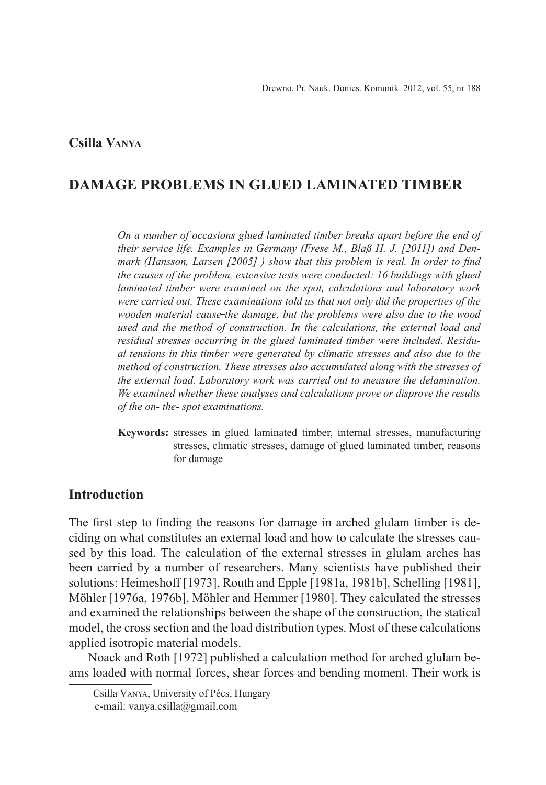# **Csilla Vanya<sup>1</sup>**

# **DAMAGE PROBLEMS IN GLUED LAMINATED TIMBER**

*On a number of occasions glued laminated timber breaks apart before the end of their service life. Examples in Germany (Frese M., Blaß H. J. [2011]) and Denmark (Hansson, Larsen [2005] ) show that this problem is real. In order to find the causes of the problem, extensive tests were conducted: 16 buildings with glued laminated timber were examined on the spot, calculations and laboratory work were carried out. These examinations told us that not only did the properties of the wooden material cause the damage, but the problems were also due to the wood used and the method of construction. In the calculations, the external load and residual stresses occurring in the glued laminated timber were included. Residual tensions in this timber were generated by climatic stresses and also due to the method of construction. These stresses also accumulated along with the stresses of the external load. Laboratory work was carried out to measure the delamination. We examined whether these analyses and calculations prove or disprove the results of the on- the- spot examinations.*

**Keywords:** stresses in glued laminated timber, internal stresses, manufacturing stresses, climatic stresses, damage of glued laminated timber, reasons for damage

# **Introduction**

The first step to finding the reasons for damage in arched glulam timber is deciding on what constitutes an external load and how to calculate the stresses caused by this load. The calculation of the external stresses in glulam arches has been carried by a number of researchers. Many scientists have published their solutions: Heimeshoff [1973], Routh and Epple [1981a, 1981b], Schelling [1981], Möhler [1976a, 1976b], Möhler and Hemmer [1980]. They calculated the stresses and examined the relationships between the shape of the construction, the statical model, the cross section and the load distribution types. Most of these calculations applied isotropic material models.

Noack and Roth [1972] published a calculation method for arched glulam beams loaded with normal forces, shear forces and bending moment. Their work is

Csilla Vanya, University of Pécs, Hungary e-mail: vanya.csilla@gmail.com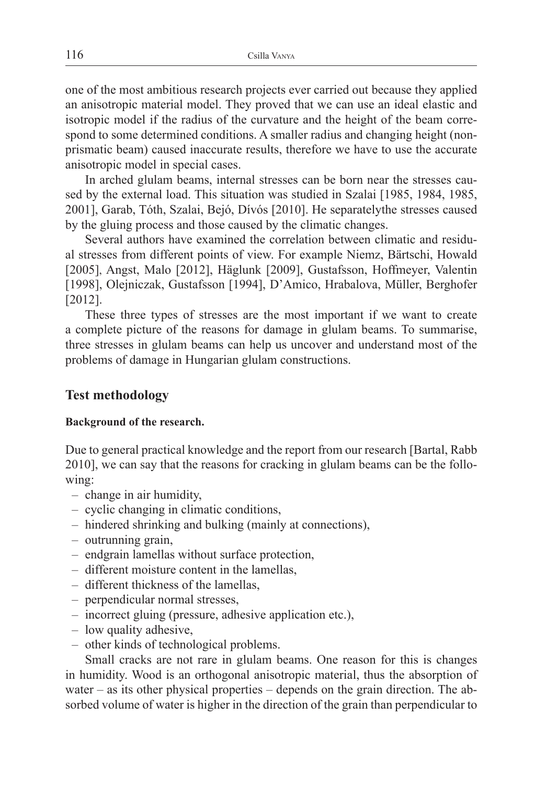one of the most ambitious research projects ever carried out because they applied an anisotropic material model. They proved that we can use an ideal elastic and isotropic model if the radius of the curvature and the height of the beam correspond to some determined conditions. A smaller radius and changing height (nonprismatic beam) caused inaccurate results, therefore we have to use the accurate anisotropic model in special cases.

In arched glulam beams, internal stresses can be born near the stresses caused by the external load. This situation was studied in Szalai [1985, 1984, 1985, 2001], Garab, Tóth, Szalai, Bejó, Dívós [2010]. He separatelythe stresses caused by the gluing process and those caused by the climatic changes.

Several authors have examined the correlation between climatic and residual stresses from different points of view. For example Niemz, Bärtschi, Howald [2005], Angst, Malo [2012], Häglunk [2009], Gustafsson, Hoffmeyer, Valentin [1998], Olejniczak, Gustafsson [1994], D'Amico, Hrabalova, Müller, Berghofer [2012].

These three types of stresses are the most important if we want to create a complete picture of the reasons for damage in glulam beams. To summarise, three stresses in glulam beams can help us uncover and understand most of the problems of damage in Hungarian glulam constructions.

# **Test methodology**

## **Background of the research.**

Due to general practical knowledge and the report from our research [Bartal, Rabb 2010], we can say that the reasons for cracking in glulam beams can be the following:

- change in air humidity,
- cyclic changing in climatic conditions,
- hindered shrinking and bulking (mainly at connections),
- outrunning grain,
- endgrain lamellas without surface protection,
- different moisture content in the lamellas,
- different thickness of the lamellas,
- perpendicular normal stresses,
- incorrect gluing (pressure, adhesive application etc.),
- low quality adhesive,
- other kinds of technological problems.

Small cracks are not rare in glulam beams. One reason for this is changes in humidity. Wood is an orthogonal anisotropic material, thus the absorption of water – as its other physical properties – depends on the grain direction. The absorbed volume of water is higher in the direction of the grain than perpendicular to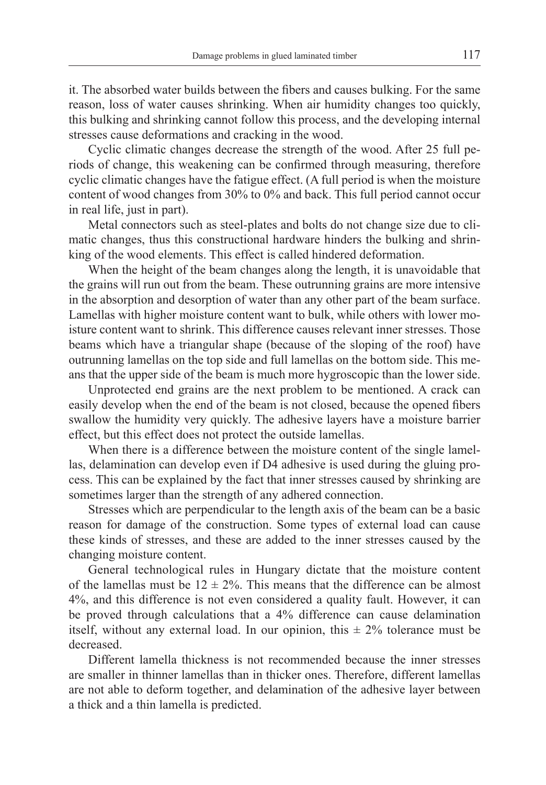it. The absorbed water builds between the fibers and causes bulking. For the same reason, loss of water causes shrinking. When air humidity changes too quickly, this bulking and shrinking cannot follow this process, and the developing internal stresses cause deformations and cracking in the wood.

Cyclic climatic changes decrease the strength of the wood. After 25 full periods of change, this weakening can be confirmed through measuring, therefore cyclic climatic changes have the fatigue effect. (A full period is when the moisture content of wood changes from 30% to 0% and back. This full period cannot occur in real life, just in part).

Metal connectors such as steel-plates and bolts do not change size due to climatic changes, thus this constructional hardware hinders the bulking and shrinking of the wood elements. This effect is called hindered deformation.

When the height of the beam changes along the length, it is unavoidable that the grains will run out from the beam. These outrunning grains are more intensive in the absorption and desorption of water than any other part of the beam surface. Lamellas with higher moisture content want to bulk, while others with lower moisture content want to shrink. This difference causes relevant inner stresses. Those beams which have a triangular shape (because of the sloping of the roof) have outrunning lamellas on the top side and full lamellas on the bottom side. This means that the upper side of the beam is much more hygroscopic than the lower side.

Unprotected end grains are the next problem to be mentioned. A crack can easily develop when the end of the beam is not closed, because the opened fibers swallow the humidity very quickly. The adhesive layers have a moisture barrier effect, but this effect does not protect the outside lamellas.

When there is a difference between the moisture content of the single lamellas, delamination can develop even if D4 adhesive is used during the gluing process. This can be explained by the fact that inner stresses caused by shrinking are sometimes larger than the strength of any adhered connection.

Stresses which are perpendicular to the length axis of the beam can be a basic reason for damage of the construction. Some types of external load can cause these kinds of stresses, and these are added to the inner stresses caused by the changing moisture content.

General technological rules in Hungary dictate that the moisture content of the lamellas must be  $12 \pm 2\%$ . This means that the difference can be almost 4%, and this difference is not even considered a quality fault. However, it can be proved through calculations that a 4% difference can cause delamination itself, without any external load. In our opinion, this  $\pm$  2% tolerance must be decreased.

Different lamella thickness is not recommended because the inner stresses are smaller in thinner lamellas than in thicker ones. Therefore, different lamellas are not able to deform together, and delamination of the adhesive layer between a thick and a thin lamella is predicted.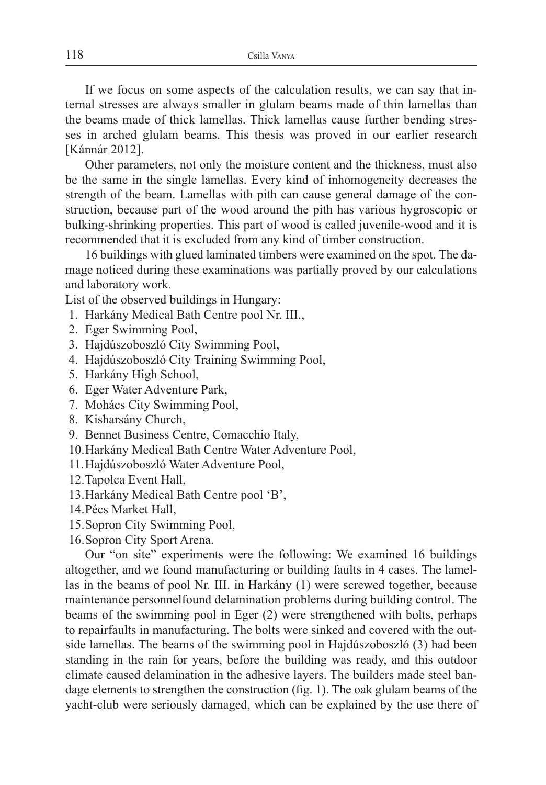If we focus on some aspects of the calculation results, we can say that internal stresses are always smaller in glulam beams made of thin lamellas than the beams made of thick lamellas. Thick lamellas cause further bending stresses in arched glulam beams. This thesis was proved in our earlier research [Kánnár 2012].

Other parameters, not only the moisture content and the thickness, must also be the same in the single lamellas. Every kind of inhomogeneity decreases the strength of the beam. Lamellas with pith can cause general damage of the construction, because part of the wood around the pith has various hygroscopic or bulking-shrinking properties. This part of wood is called juvenile-wood and it is recommended that it is excluded from any kind of timber construction.

16 buildings with glued laminated timbers were examined on the spot. The damage noticed during these examinations was partially proved by our calculations and laboratory work.

List of the observed buildings in Hungary:

- 1. Harkány Medical Bath Centre pool Nr. III.,
- 2. Eger Swimming Pool,
- 3. Hajdúszoboszló City Swimming Pool,
- 4. Hajdúszoboszló City Training Swimming Pool,
- 5. Harkány High School,
- 6. Eger Water Adventure Park,
- 7. Mohács City Swimming Pool,
- 8. Kisharsány Church,
- 9. Bennet Business Centre, Comacchio Italy,
- 10.Harkány Medical Bath Centre Water Adventure Pool,
- 11.Hajdúszoboszló Water Adventure Pool,
- 12.Tapolca Event Hall,
- 13.Harkány Medical Bath Centre pool 'B',
- 14.Pécs Market Hall,
- 15.Sopron City Swimming Pool,
- 16.Sopron City Sport Arena.

Our "on site" experiments were the following: We examined 16 buildings altogether, and we found manufacturing or building faults in 4 cases. The lamellas in the beams of pool Nr. III. in Harkány (1) were screwed together, because maintenance personnelfound delamination problems during building control. The beams of the swimming pool in Eger (2) were strengthened with bolts, perhaps to repairfaults in manufacturing. The bolts were sinked and covered with the outside lamellas. The beams of the swimming pool in Hajdúszoboszló (3) had been standing in the rain for years, before the building was ready, and this outdoor climate caused delamination in the adhesive layers. The builders made steel bandage elements to strengthen the construction (fig. 1). The oak glulam beams of the yacht-club were seriously damaged, which can be explained by the use there of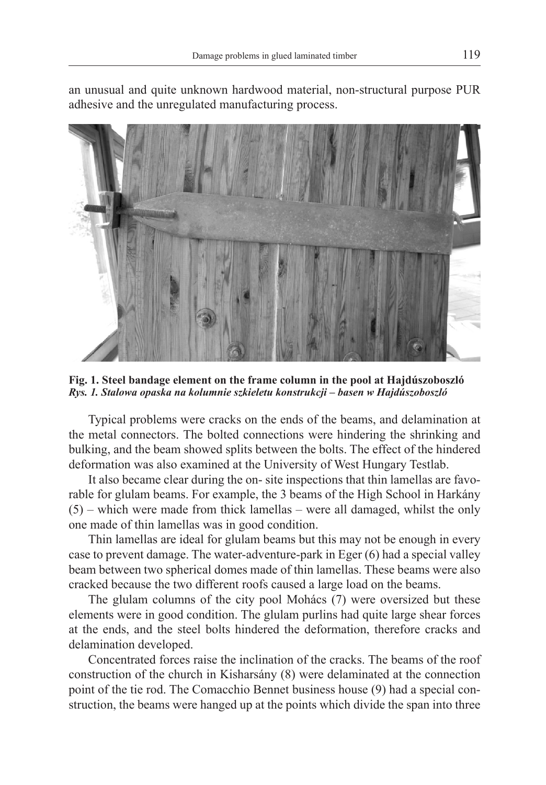

an unusual and quite unknown hardwood material, non-structural purpose PUR adhesive and the unregulated manufacturing process.

**Fig. 1. Steel bandage element on the frame column in the pool at Hajdúszoboszló** *Rys. 1. Stalowa opaska na kolumnie szkieletu konstrukcji – basen w Hajdúszoboszló*

Typical problems were cracks on the ends of the beams, and delamination at the metal connectors. The bolted connections were hindering the shrinking and bulking, and the beam showed splits between the bolts. The effect of the hindered deformation was also examined at the University of West Hungary Testlab.

It also became clear during the on- site inspections that thin lamellas are favorable for glulam beams. For example, the 3 beams of the High School in Harkány (5) – which were made from thick lamellas – were all damaged, whilst the only one made of thin lamellas was in good condition.

Thin lamellas are ideal for glulam beams but this may not be enough in every case to prevent damage. The water-adventure-park in Eger (6) had a special valley beam between two spherical domes made of thin lamellas. These beams were also cracked because the two different roofs caused a large load on the beams.

The glulam columns of the city pool Mohács (7) were oversized but these elements were in good condition. The glulam purlins had quite large shear forces at the ends, and the steel bolts hindered the deformation, therefore cracks and delamination developed.

Concentrated forces raise the inclination of the cracks. The beams of the roof construction of the church in Kisharsány (8) were delaminated at the connection point of the tie rod. The Comacchio Bennet business house (9) had a special construction, the beams were hanged up at the points which divide the span into three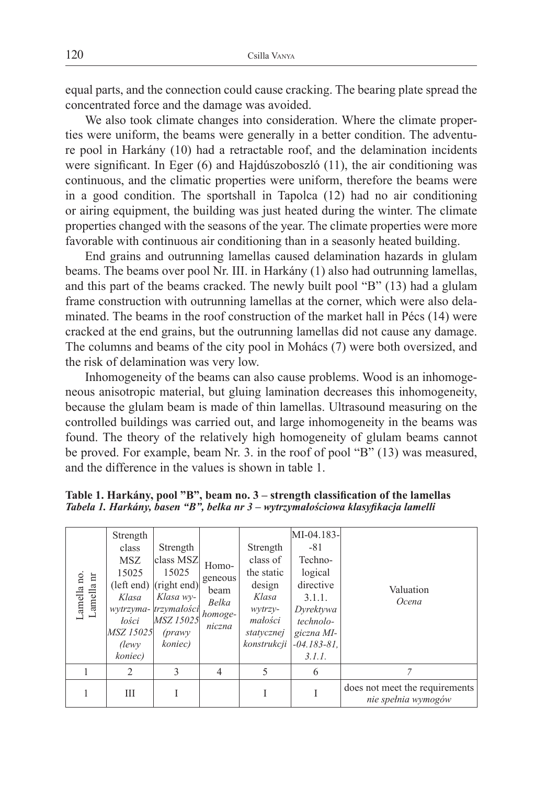equal parts, and the connection could cause cracking. The bearing plate spread the concentrated force and the damage was avoided.

We also took climate changes into consideration. Where the climate properties were uniform, the beams were generally in a better condition. The adventure pool in Harkány (10) had a retractable roof, and the delamination incidents were significant. In Eger (6) and Hajdúszoboszló (11), the air conditioning was continuous, and the climatic properties were uniform, therefore the beams were in a good condition. The sportshall in Tapolca (12) had no air conditioning or airing equipment, the building was just heated during the winter. The climate properties changed with the seasons of the year. The climate properties were more favorable with continuous air conditioning than in a seasonly heated building.

End grains and outrunning lamellas caused delamination hazards in glulam beams. The beams over pool Nr. III. in Harkány (1) also had outrunning lamellas, and this part of the beams cracked. The newly built pool "B" (13) had a glulam frame construction with outrunning lamellas at the corner, which were also delaminated. The beams in the roof construction of the market hall in Pécs (14) were cracked at the end grains, but the outrunning lamellas did not cause any damage. The columns and beams of the city pool in Mohács (7) were both oversized, and the risk of delamination was very low.

Inhomogeneity of the beams can also cause problems. Wood is an inhomogeneous anisotropic material, but gluing lamination decreases this inhomogeneity, because the glulam beam is made of thin lamellas. Ultrasound measuring on the controlled buildings was carried out, and large inhomogeneity in the beams was found. The theory of the relatively high homogeneity of glulam beams cannot be proved. For example, beam Nr. 3. in the roof of pool "B" (13) was measured, and the difference in the values is shown in table 1.

| $\begin{array}{c} \text{Lamella no.}\\ \text{Lamella nr} \end{array}$ | Strength<br>class<br><b>MSZ</b><br>15025<br>Klasa<br>lości<br>MSZ 15025<br><i>(lewy)</i><br>koniec) | Strength<br>class MSZ<br>15025<br>(left end) (right end)<br>Klasa wy-<br>wytrzyma- trzymałości<br>MSZ 15025<br>$(\text{prawv})$<br>koniec) | Homo-<br>geneous<br>beam<br>Belka<br>homoge-<br>niczna | Strength<br>class of<br>the static<br>design<br>Klasa<br>wytrzy-<br>małości<br>statycznej<br>konstrukcji | MI-04.183-<br>$-81$<br>Techno-<br>logical<br>directive<br>3.1.1.<br>Dyrektywa<br>technolo-<br>giczna MI-<br>$-04.183 - 81$ ,<br>3.1.1. | Valuation<br>Ocena                                    |
|-----------------------------------------------------------------------|-----------------------------------------------------------------------------------------------------|--------------------------------------------------------------------------------------------------------------------------------------------|--------------------------------------------------------|----------------------------------------------------------------------------------------------------------|----------------------------------------------------------------------------------------------------------------------------------------|-------------------------------------------------------|
|                                                                       | $\mathfrak{D}$                                                                                      | 3                                                                                                                                          | 4                                                      | 5                                                                                                        | 6                                                                                                                                      | $\overline{7}$                                        |
|                                                                       | Ш                                                                                                   |                                                                                                                                            |                                                        |                                                                                                          |                                                                                                                                        | does not meet the requirements<br>nie spełnia wymogów |

**Table 1. Harkány, pool "B", beam no. 3 – strength classification of the lamellas** *Tabela 1. Harkány, basen "B", belka nr 3 – wytrzymałościowa klasyfikacja lamelli*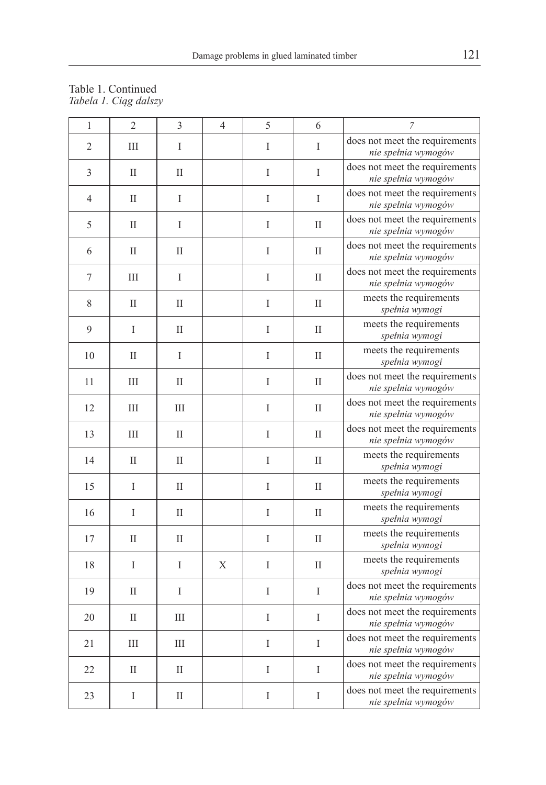#### Table 1. Continued *Tabela 1. Ciąg dalszy*

| $\,1$          | $\overline{2}$ | 3            | 4 | 5       | 6             | $\overline{7}$                                        |
|----------------|----------------|--------------|---|---------|---------------|-------------------------------------------------------|
| $\mathfrak{2}$ | Ш              | I            |   | I       | I             | does not meet the requirements<br>nie spełnia wymogów |
| 3              | $\mathbf{I}$   | $\mathbf{I}$ |   | I       | I             | does not meet the requirements<br>nie spełnia wymogów |
| $\overline{4}$ | $\mathbf{I}$   | I            |   | I       | I             | does not meet the requirements<br>nie spełnia wymogów |
| 5              | $\mathbf{I}$   | I            |   | I       | $\mathbf{I}$  | does not meet the requirements<br>nie spełnia wymogów |
| 6              | $\mathbf{I}$   | $\mathbf{I}$ |   | I       | $\mathbf{I}$  | does not meet the requirements<br>nie spełnia wymogów |
| 7              | Ш              | I            |   | I       | $\mathbf{I}$  | does not meet the requirements<br>nie spełnia wymogów |
| 8              | $\rm II$       | $\mathbf{I}$ |   | I       | $\mathbf{I}$  | meets the requirements<br>spełnia wymogi              |
| 9              | $\mathbf{I}$   | $\mathbf{I}$ |   | I       | $\mathbf{I}$  | meets the requirements<br>spełnia wymogi              |
| 10             | $\mathbf{I}$   | I            |   | I       | $\mathbf{I}$  | meets the requirements<br>spełnia wymogi              |
| 11             | Ш              | $_{\rm II}$  |   | $\rm I$ | $\mathbf{I}$  | does not meet the requirements<br>nie spełnia wymogów |
| 12             | Ш              | Ш            |   | I       | $\mathbf{I}$  | does not meet the requirements<br>nie spełnia wymogów |
| 13             | III            | $\mathbf{I}$ |   | I       | $\mathbf{I}$  | does not meet the requirements<br>nie spełnia wymogów |
| 14             | $\mathbf{I}$   | $\mathbf{I}$ |   | I       | $\mathbf{I}$  | meets the requirements<br>spełnia wymogi              |
| 15             | I              | $\mathbf{I}$ |   | I       | $\mathbf{I}$  | meets the requirements<br>spełnia wymogi              |
| 16             | I              | $\mathbf{I}$ |   | I       | $\mathbf{I}$  | meets the requirements<br>spełnia wymogi              |
| 17             | П              | П            |   | I       | $\mathbf{I}$  | meets the requirements<br>spełnia wymogi              |
| 18             | I              | I            | Χ | I       | $\mathbf{I}$  | meets the requirements<br>spełnia wymogi              |
| 19             | $\mathbf{I}$   | I            |   | I       | $\mathbf{I}$  | does not meet the requirements<br>nie spełnia wymogów |
| 20             | $\mathbf{I}$   | Ш            |   | I       | I             | does not meet the requirements<br>nie spełnia wymogów |
| 21             | Ш              | Ш            |   | I       | I             | does not meet the requirements<br>nie spełnia wymogów |
| 22             | $_{\rm II}$    | $_{\rm II}$  |   | I       | $\bar{\rm I}$ | does not meet the requirements<br>nie spełnia wymogów |
| 23             | I              | $_{\rm II}$  |   | I       | I             | does not meet the requirements<br>nie spełnia wymogów |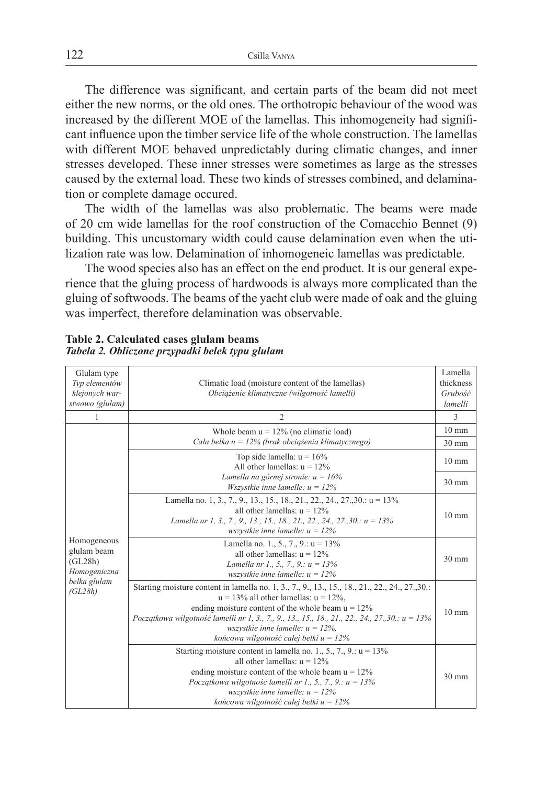The difference was significant, and certain parts of the beam did not meet either the new norms, or the old ones. The orthotropic behaviour of the wood was increased by the different MOE of the lamellas. This inhomogeneity had significant influence upon the timber service life of the whole construction. The lamellas with different MOE behaved unpredictably during climatic changes, and inner stresses developed. These inner stresses were sometimes as large as the stresses caused by the external load. These two kinds of stresses combined, and delamination or complete damage occured.

The width of the lamellas was also problematic. The beams were made of 20 cm wide lamellas for the roof construction of the Comacchio Bennet (9) building. This uncustomary width could cause delamination even when the utilization rate was low. Delamination of inhomogeneic lamellas was predictable.

The wood species also has an effect on the end product. It is our general experience that the gluing process of hardwoods is always more complicated than the gluing of softwoods. The beams of the yacht club were made of oak and the gluing was imperfect, therefore delamination was observable.

| Glulam type<br>Typ elementów<br>klejonych war-<br>stwowo (glulam) | Climatic load (moisture content of the lamellas)<br>Obciążenie klimatyczne (wilgotność lamelli)                                                                                                                                                                                                                                                                                                   | Lamella<br>thickness<br>Grubość<br>lamelli |  |  |
|-------------------------------------------------------------------|---------------------------------------------------------------------------------------------------------------------------------------------------------------------------------------------------------------------------------------------------------------------------------------------------------------------------------------------------------------------------------------------------|--------------------------------------------|--|--|
| 1                                                                 | $\overline{2}$                                                                                                                                                                                                                                                                                                                                                                                    | 3                                          |  |  |
|                                                                   | Whole beam $u = 12\%$ (no climatic load)                                                                                                                                                                                                                                                                                                                                                          |                                            |  |  |
|                                                                   | Cała belka $u = 12\%$ (brak obciążenia klimatycznego)                                                                                                                                                                                                                                                                                                                                             |                                            |  |  |
|                                                                   | Top side lamella: $u = 16\%$<br>All other lamellas: $u = 12\%$                                                                                                                                                                                                                                                                                                                                    |                                            |  |  |
|                                                                   | Lamella na górnej stronie: $u = 16\%$<br>Wszystkie inne lamelle: $u = 12\%$                                                                                                                                                                                                                                                                                                                       | $30 \text{ mm}$                            |  |  |
|                                                                   | Lamella no. 1, 3, 7, 9, 13, 15, 18, 21, 22, 24, 27, 30.: $u = 13\%$<br>all other lamellas: $u = 12\%$<br>Lamella nr 1, 3., 7., 9., 13., 15., 18., 21., 22., 24., 27., 30.: $u = 13\%$<br>wszystkie inne lamelle: $u = 12\%$                                                                                                                                                                       |                                            |  |  |
| Homogeneous<br>glulam beam<br>(GL28h)<br>Homogeniczna             | Lamella no. 1., 5., 7., 9.: $u = 13\%$<br>all other lamellas: $u = 12\%$<br>Lamella nr 1., 5., 7., 9.: $u = 13\%$<br>wszystkie inne lamelle: $u = 12\%$                                                                                                                                                                                                                                           | $30 \text{ mm}$                            |  |  |
| belka glulam<br>(GL28h)                                           | Starting moisture content in lamella no. 1, 3., 7., 9., 13., 15., 18., 21., 22., 24., 27., 30.:<br>$u = 13\%$ all other lamellas: $u = 12\%$ ,<br>ending moisture content of the whole beam $u = 12\%$<br>Początkowa wilgotność lamelli nr 1, 3., 7., 9., 13., 15., 18., 21., 22., 24., 27., 30.: $u = 13\%$<br>wszystkie inne lamelle: $u = 12\%$ ,<br>końcowa wilgotność całej belki $u = 12\%$ | $10 \text{ mm}$                            |  |  |
|                                                                   | Starting moisture content in lamella no. 1, 5, 7, 9, $u = 13\%$<br>all other lamellas: $u = 12\%$<br>ending moisture content of the whole beam $u = 12\%$<br>Początkowa wilgotność lamelli nr 1., 5., 7., 9.: $u = 13\%$<br>wszystkie inne lamelle: $u = 12\%$<br>końcowa wilgotność całej belki $u = 12\%$                                                                                       |                                            |  |  |

#### **Table 2. Calculated cases glulam beams** *Tabela 2. Obliczone przypadki belek typu glulam*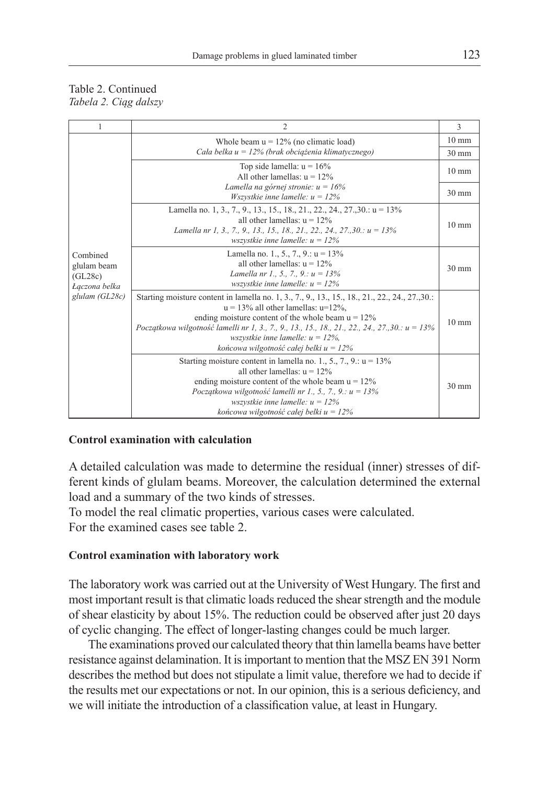### Table 2. Continued *Tabela 2. Ciąg dalszy*

| $\mathbf{1}$                                        | $\overline{c}$                                                                                                                                                                                                                                                                                                                                                                              | 3               |  |
|-----------------------------------------------------|---------------------------------------------------------------------------------------------------------------------------------------------------------------------------------------------------------------------------------------------------------------------------------------------------------------------------------------------------------------------------------------------|-----------------|--|
|                                                     | Whole beam $u = 12\%$ (no climatic load)                                                                                                                                                                                                                                                                                                                                                    |                 |  |
|                                                     | Cała belka $u = 12\%$ (brak obciążenia klimatycznego)                                                                                                                                                                                                                                                                                                                                       |                 |  |
|                                                     | Top side lamella: $u = 16\%$<br>All other lamellas: $u = 12\%$                                                                                                                                                                                                                                                                                                                              | $10 \text{ mm}$ |  |
|                                                     | Lamella na górnej stronie: $u = 16\%$<br>Wszystkie inne lamelle: $u = 12\%$                                                                                                                                                                                                                                                                                                                 |                 |  |
|                                                     | Lamella no. 1, 3., 7., 9., 13., 15., 18., 21., 22., 24., 27., 30.: $u = 13\%$<br>all other lamellas: $u = 12\%$<br>Lamella nr 1, 3, 7, 9, 13, 15, 18, 21, 22, 24, 27, 30, $u = 13\%$<br>wszystkie inne lamelle: $u = 12\%$                                                                                                                                                                  | $10 \text{ mm}$ |  |
| Combined<br>glulam beam<br>(GL28c)<br>Łączona belka | Lamella no. 1., 5., 7., 9.: $u = 13\%$<br>all other lamellas: $u = 12\%$<br>Lamella nr 1., 5., 7., 9.: $u = 13\%$<br>wszystkie inne lamelle: $u = 12\%$                                                                                                                                                                                                                                     |                 |  |
| glulam (GL28c)                                      | Starting moisture content in lamella no. 1, 3., 7., 9., 13., 15., 18., 21., 22., 24., 27., 30.<br>$u = 13\%$ all other lamellas: $u=12\%$ ,<br>ending moisture content of the whole beam $u = 12\%$<br>Początkowa wilgotność lamelli nr 1, 3., 7., 9., 13., 15., 18., 21., 22., 24., 27., 30.: u = 13%<br>wszystkie inne lamelle: $u = 12\%$ ,<br>końcowa wilgotność całej belki $u = 12\%$ | $10 \text{ mm}$ |  |
|                                                     | Starting moisture content in lamella no. 1, 5, 7, 9, $u = 13\%$<br>all other lamellas: $u = 12\%$<br>ending moisture content of the whole beam $u = 12\%$<br>Początkowa wilgotność lamelli nr 1., 5., 7., 9.: $u = 13\%$<br>wszystkie inne lamelle: $u = 12\%$<br>końcowa wilgotność całej belki $u = 12\%$                                                                                 | $30 \text{ mm}$ |  |

# **Control examination with calculation**

A detailed calculation was made to determine the residual (inner) stresses of different kinds of glulam beams. Moreover, the calculation determined the external load and a summary of the two kinds of stresses.

To model the real climatic properties, various cases were calculated. For the examined cases see table 2.

## **Control examination with laboratory work**

The laboratory work was carried out at the University of West Hungary. The first and most important result is that climatic loads reduced the shear strength and the module of shear elasticity by about 15%. The reduction could be observed after just 20 days of cyclic changing. The effect of longer-lasting changes could be much larger.

The examinations proved our calculated theory that thin lamella beams have better resistance against delamination. It is important to mention that the MSZ EN 391 Norm describes the method but does not stipulate a limit value, therefore we had to decide if the results met our expectations or not. In our opinion, this is a serious deficiency, and we will initiate the introduction of a classification value, at least in Hungary.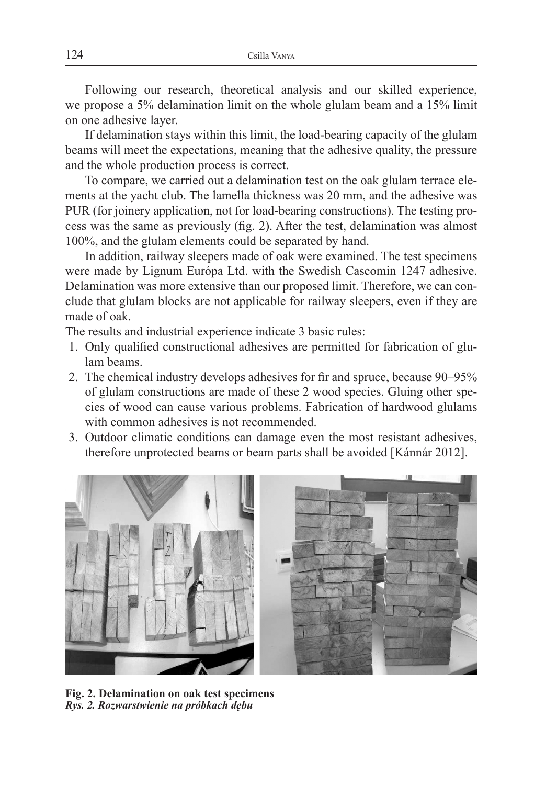Following our research, theoretical analysis and our skilled experience, we propose a 5% delamination limit on the whole glulam beam and a 15% limit on one adhesive layer.

If delamination stays within this limit, the load-bearing capacity of the glulam beams will meet the expectations, meaning that the adhesive quality, the pressure and the whole production process is correct.

To compare, we carried out a delamination test on the oak glulam terrace elements at the yacht club. The lamella thickness was 20 mm, and the adhesive was PUR (for joinery application, not for load-bearing constructions). The testing process was the same as previously (fig. 2). After the test, delamination was almost 100%, and the glulam elements could be separated by hand.

In addition, railway sleepers made of oak were examined. The test specimens were made by Lignum Európa Ltd. with the Swedish Cascomin 1247 adhesive. Delamination was more extensive than our proposed limit. Therefore, we can conclude that glulam blocks are not applicable for railway sleepers, even if they are made of oak.

The results and industrial experience indicate 3 basic rules:

- 1. Only qualified constructional adhesives are permitted for fabrication of glulam beams.
- 2. The chemical industry develops adhesives for fir and spruce, because 90–95% of glulam constructions are made of these 2 wood species. Gluing other species of wood can cause various problems. Fabrication of hardwood glulams with common adhesives is not recommended.
- 3. Outdoor climatic conditions can damage even the most resistant adhesives, therefore unprotected beams or beam parts shall be avoided [Kánnár 2012].



**Fig. 2. Delamination on oak test specimens** *Rys. 2. Rozwarstwienie na próbkach dębu*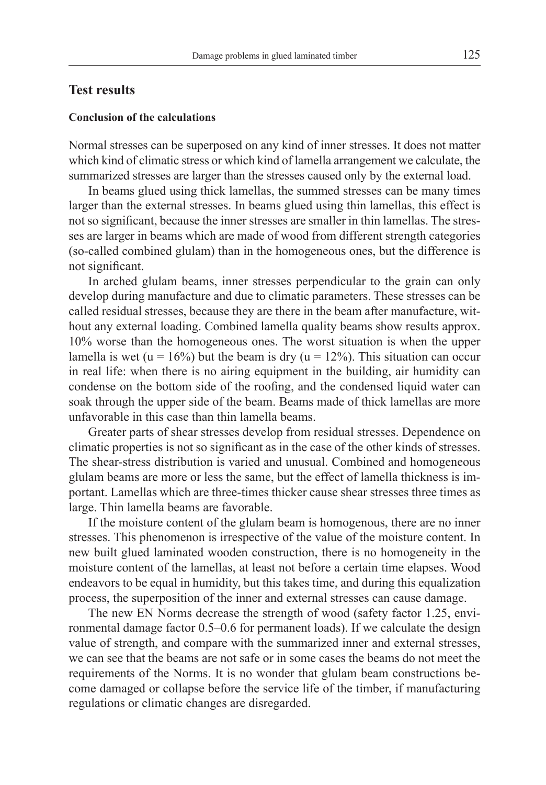## **Test results**

#### **Conclusion of the calculations**

Normal stresses can be superposed on any kind of inner stresses. It does not matter which kind of climatic stress or which kind of lamella arrangement we calculate, the summarized stresses are larger than the stresses caused only by the external load.

In beams glued using thick lamellas, the summed stresses can be many times larger than the external stresses. In beams glued using thin lamellas, this effect is not so significant, because the inner stresses are smaller in thin lamellas. The stresses are larger in beams which are made of wood from different strength categories (so-called combined glulam) than in the homogeneous ones, but the difference is not significant.

In arched glulam beams, inner stresses perpendicular to the grain can only develop during manufacture and due to climatic parameters. These stresses can be called residual stresses, because they are there in the beam after manufacture, without any external loading. Combined lamella quality beams show results approx. 10% worse than the homogeneous ones. The worst situation is when the upper lamella is wet (u = 16%) but the beam is dry (u = 12%). This situation can occur in real life: when there is no airing equipment in the building, air humidity can condense on the bottom side of the roofing, and the condensed liquid water can soak through the upper side of the beam. Beams made of thick lamellas are more unfavorable in this case than thin lamella beams.

Greater parts of shear stresses develop from residual stresses. Dependence on climatic properties is not so significant as in the case of the other kinds of stresses. The shear-stress distribution is varied and unusual. Combined and homogeneous glulam beams are more or less the same, but the effect of lamella thickness is important. Lamellas which are three-times thicker cause shear stresses three times as large. Thin lamella beams are favorable.

If the moisture content of the glulam beam is homogenous, there are no inner stresses. This phenomenon is irrespective of the value of the moisture content. In new built glued laminated wooden construction, there is no homogeneity in the moisture content of the lamellas, at least not before a certain time elapses. Wood endeavors to be equal in humidity, but this takes time, and during this equalization process, the superposition of the inner and external stresses can cause damage.

The new EN Norms decrease the strength of wood (safety factor 1.25, environmental damage factor 0.5–0.6 for permanent loads). If we calculate the design value of strength, and compare with the summarized inner and external stresses, we can see that the beams are not safe or in some cases the beams do not meet the requirements of the Norms. It is no wonder that glulam beam constructions become damaged or collapse before the service life of the timber, if manufacturing regulations or climatic changes are disregarded.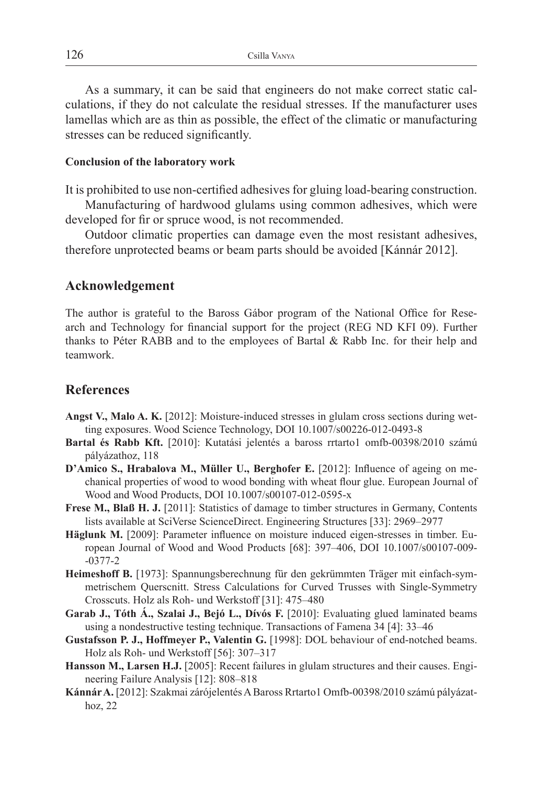As a summary, it can be said that engineers do not make correct static calculations, if they do not calculate the residual stresses. If the manufacturer uses lamellas which are as thin as possible, the effect of the climatic or manufacturing stresses can be reduced significantly.

### **Conclusion of the laboratory work**

It is prohibited to use non-certified adhesives for gluing load-bearing construction.

Manufacturing of hardwood glulams using common adhesives, which were developed for fir or spruce wood, is not recommended.

Outdoor climatic properties can damage even the most resistant adhesives, therefore unprotected beams or beam parts should be avoided [Kánnár 2012].

# **Acknowledgement**

The author is grateful to the Baross Gábor program of the National Office for Research and Technology for financial support for the project (REG ND KFI 09). Further thanks to Péter RABB and to the employees of Bartal & Rabb Inc. for their help and teamwork.

# **References**

- **Angst V., Malo A. K.** [2012]: Moisture-induced stresses in glulam cross sections during wetting exposures. Wood Science Technology, DOI 10.1007/s00226-012-0493-8
- **Bartal és Rabb Kft.** [2010]: Kutatási jelentés a baross rrtarto1 omfb-00398/2010 számú pályázathoz, 118
- **D'Amico S., Hrabalova M., Müller U., Berghofer E.** [2012]: Influence of ageing on mechanical properties of wood to wood bonding with wheat flour glue. European Journal of Wood and Wood Products, DOI 10.1007/s00107-012-0595-x
- Frese M., Blaß H. J. [2011]: Statistics of damage to timber structures in Germany, Contents lists available at SciVerse ScienceDirect. Engineering Structures [33]: 2969–2977
- Häglunk M. [2009]: Parameter influence on moisture induced eigen-stresses in timber. European Journal of Wood and Wood Products [68]: 397–406, DOI 10.1007/s00107-009- -0377-2
- **Heimeshoff B.** [1973]: Spannungsberechnung für den gekrümmten Träger mit einfach-symmetrischem Querscnitt. Stress Calculations for Curved Trusses with Single-Symmetry Crosscuts. Holz als Roh- und Werkstoff [31]: 475–480
- **Garab J., Tóth Á., Szalai J., Bejó L., Dívós F.** [2010]: Evaluating glued laminated beams using a nondestructive testing technique. Transactions of Famena 34 [4]: 33–46
- **Gustafsson P. J., Hoffmeyer P., Valentin G.** [1998]: DOL behaviour of end-notched beams. Holz als Roh- und Werkstoff [56]: 307–317
- **Hansson M., Larsen H.J.** [2005]: Recent failures in glulam structures and their causes. Engineering Failure Analysis [12]: 808–818
- **Kánnár A.** [2012]: Szakmai zárójelentés A Baross Rrtarto1 Omfb-00398/2010 számú pályázathoz, 22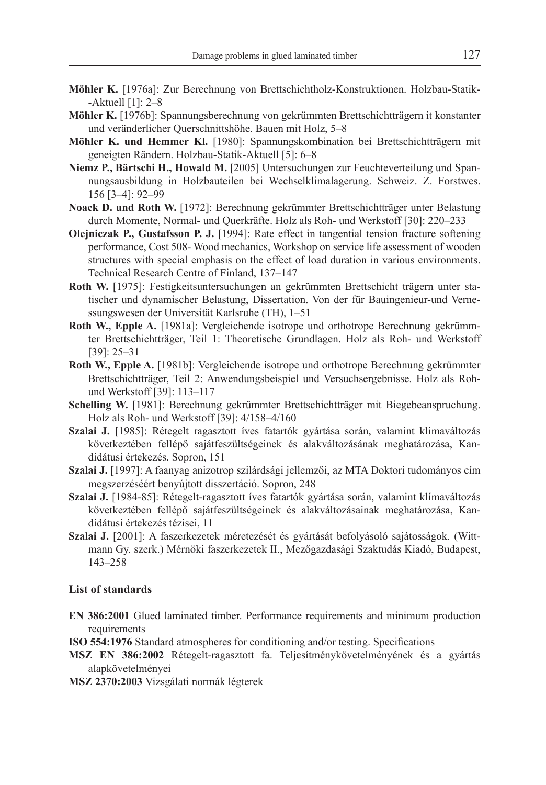- **Möhler K.** [1976a]: Zur Berechnung von Brettschichtholz-Konstruktionen. Holzbau-Statik- -Aktuell [1]: 2–8
- **Möhler K.** [1976b]: Spannungsberechnung von gekrümmten Brettschichtträgern it konstanter und veränderlicher Querschnittshöhe. Bauen mit Holz, 5–8
- **Möhler K. und Hemmer Kl.** [1980]: Spannungskombination bei Brettschichtträgern mit geneigten Rändern. Holzbau-Statik-Aktuell [5]: 6–8
- **Niemz P., Bärtschi H., Howald M.** [2005] Untersuchungen zur Feuchteverteilung und Spannungsausbildung in Holzbauteilen bei Wechselklimalagerung. Schweiz. Z. Forstwes. 156 [3–4]: 92–99
- **Noack D. und Roth W.** [1972]: Berechnung gekrümmter Brettschichtträger unter Belastung durch Momente, Normal- und Querkräfte. Holz als Roh- und Werkstoff [30]: 220–233
- **Olejniczak P., Gustafsson P. J.** [1994]: Rate effect in tangential tension fracture softening performance, Cost 508- Wood mechanics, Workshop on service life assessment of wooden structures with special emphasis on the effect of load duration in various environments. Technical Research Centre of Finland, 137–147
- **Roth W.** [1975]: Festigkeitsuntersuchungen an gekrümmten Brettschicht trägern unter statischer und dynamischer Belastung, Dissertation. Von der für Bauingenieur-und Vernessungswesen der Universität Karlsruhe (TH), 1–51
- **Roth W., Epple A.** [1981a]: Vergleichende isotrope und orthotrope Berechnung gekrümmter Brettschichtträger, Teil 1: Theoretische Grundlagen. Holz als Roh- und Werkstoff [39]: 25–31
- **Roth W., Epple A.** [1981b]: Vergleichende isotrope und orthotrope Berechnung gekrümmter Brettschichtträger, Teil 2: Anwendungsbeispiel und Versuchsergebnisse. Holz als Rohund Werkstoff [39]: 113–117
- **Schelling W.** [1981]: Berechnung gekrümmter Brettschichtträger mit Biegebeanspruchung. Holz als Roh- und Werkstoff [39]: 4/158–4/160
- **Szalai J.** [1985]: Rétegelt ragasztott íves fatartók gyártása során, valamint klimaváltozás következtében fellépő sajátfeszültségeinek és alakváltozásának meghatározása, Kandidátusi értekezés. Sopron, 151
- **Szalai J.** [1997]: A faanyag anizotrop szilárdsági jellemzői, az MTA Doktori tudományos cím megszerzéséért benyújtott disszertáció. Sopron, 248
- **Szalai J.** [1984-85]: Rétegelt-ragasztott íves fatartók gyártása során, valamint klímaváltozás következtében fellépő sajátfeszültségeinek és alakváltozásainak meghatározása, Kandidátusi értekezés tézisei, 11
- **Szalai J.** [2001]: A faszerkezetek méretezését és gyártását befolyásoló sajátosságok. (Wittmann Gy. szerk.) Mérnöki faszerkezetek II., Mezőgazdasági Szaktudás Kiadó, Budapest, 143–258

#### **List of standards**

- **EN 386:2001** Glued laminated timber. Performance requirements and minimum production requirements
- **ISO 554:1976** Standard atmospheres for conditioning and/or testing. Specifications
- **MSZ EN 386:2002** Rétegelt-ragasztott fa. Teljesítménykövetelményének és a gyártás alapkövetelményei
- **MSZ 2370:2003** Vizsgálati normák légterek